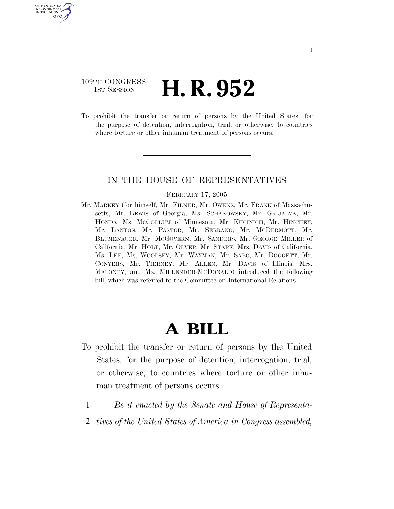### 109TH CONGRESS **1st Session H. R. 952**

U.S. GOVERNMENT GPO

> To prohibit the transfer or return of persons by the United States, for the purpose of detention, interrogation, trial, or otherwise, to countries where torture or other inhuman treatment of persons occurs.

#### IN THE HOUSE OF REPRESENTATIVES

#### FEBRUARY 17, 2005

Mr. MARKEY (for himself, Mr. FILNER, Mr. OWENS, Mr. FRANK of Massachusetts, Mr. LEWIS of Georgia, Ms. SCHAKOWSKY, Mr. GRIJALVA, Mr. HONDA, Ms. MCCOLLUM of Minnesota, Mr. KUCINICH, Mr. HINCHEY, Mr. LANTOS, Mr. PASTOR, Mr. SERRANO, Mr. MCDERMOTT, Mr. BLUMENAUER, Mr. MCGOVERN, Mr. SANDERS, Mr. GEORGE MILLER of California, Mr. HOLT, Mr. OLVER, Mr. STARK, Mrs. DAVIS of California, Ms. LEE, Ms. WOOLSEY, Mr. WAXMAN, Mr. SABO, Mr. DOGGETT, Mr. CONYERS, Mr. TIERNEY, Mr. ALLEN, Mr. DAVIS of Illinois, Mrs. MALONEY, and Ms. MILLENDER-MCDONALD) introduced the following bill; which was referred to the Committee on International Relations

# **A BILL**

- To prohibit the transfer or return of persons by the United States, for the purpose of detention, interrogation, trial, or otherwise, to countries where torture or other inhuman treatment of persons occurs.
	- 1 *Be it enacted by the Senate and House of Representa-*
	- 2 *tives of the United States of America in Congress assembled,*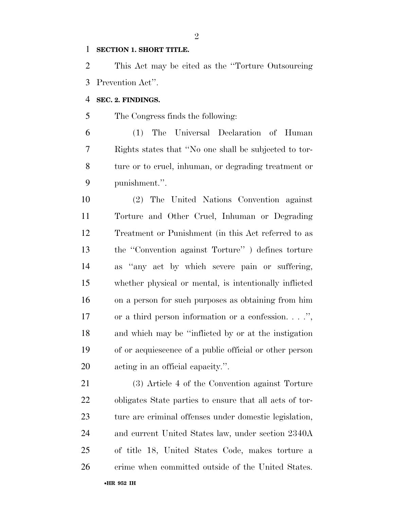#### **SECTION 1. SHORT TITLE.**

 This Act may be cited as the ''Torture Outsourcing Prevention Act''.

#### **SEC. 2. FINDINGS.**

The Congress finds the following:

 (1) The Universal Declaration of Human Rights states that ''No one shall be subjected to tor- ture or to cruel, inhuman, or degrading treatment or punishment.''.

 (2) The United Nations Convention against Torture and Other Cruel, Inhuman or Degrading Treatment or Punishment (in this Act referred to as the ''Convention against Torture'' ) defines torture as ''any act by which severe pain or suffering, whether physical or mental, is intentionally inflicted on a person for such purposes as obtaining from him or a third person information or a confession. . . .'', and which may be ''inflicted by or at the instigation of or acquiescence of a public official or other person acting in an official capacity.''.

 (3) Article 4 of the Convention against Torture obligates State parties to ensure that all acts of tor-23 ture are criminal offenses under domestic legislation, and current United States law, under section 2340A of title 18, United States Code, makes torture a 26 crime when committed outside of the United States.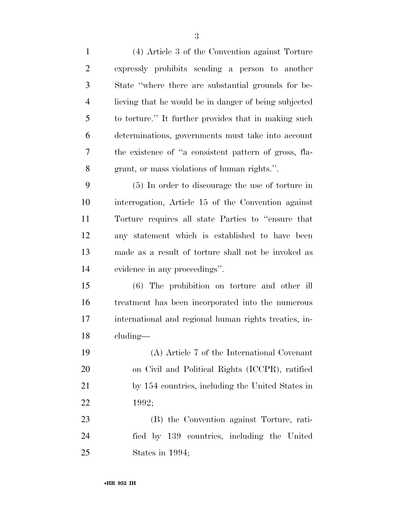| $\mathbf{1}$   | (4) Article 3 of the Convention against Torture       |
|----------------|-------------------------------------------------------|
| $\overline{2}$ | expressly prohibits sending a person to another       |
| 3              | State "where there are substantial grounds for be-    |
| $\overline{4}$ | lieving that he would be in danger of being subjected |
| 5              | to torture." It further provides that in making such  |
| 6              | determinations, governments must take into account    |
| 7              | the existence of "a consistent pattern of gross, fla- |
| $8\,$          | grant, or mass violations of human rights.".          |
| 9              | (5) In order to discourage the use of torture in      |
| 10             | interrogation, Article 15 of the Convention against   |
| 11             | Torture requires all state Parties to "ensure that    |
| 12             | any statement which is established to have been       |
| 13             | made as a result of torture shall not be invoked as   |
| 14             | evidence in any proceedings".                         |
| 15             | (6) The prohibition on torture and other ill          |
| 16             | treatment has been incorporated into the numerous     |
| 17             | international and regional human rights treaties, in- |
| 18             | cluding-                                              |
| 19             | (A) Article 7 of the International Covenant           |
| 20             | on Civil and Political Rights (ICCPR), ratified       |
| 21             | by 154 countries, including the United States in      |
| 22             | 1992;                                                 |
| 23             | (B) the Convention against Torture, rati-             |
| 24             | fied by 139 countries, including the United           |
| 25             | States in 1994;                                       |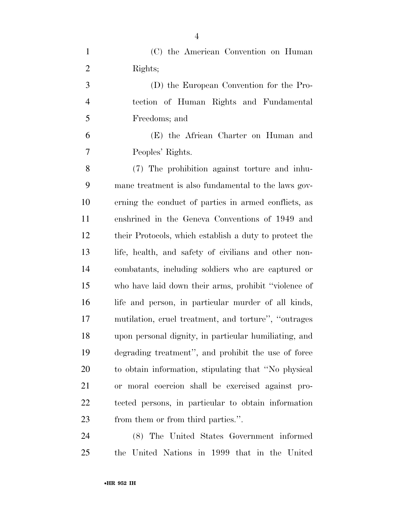| $\mathbf{1}$   | (C) the American Convention on Human                   |
|----------------|--------------------------------------------------------|
| $\overline{2}$ | Rights;                                                |
| 3              | (D) the European Convention for the Pro-               |
| $\overline{4}$ | tection of Human Rights and Fundamental                |
| 5              | Freedoms; and                                          |
| 6              | (E) the African Charter on Human and                   |
| $\overline{7}$ | Peoples' Rights.                                       |
| 8              | (7) The prohibition against torture and inhu-          |
| 9              | mane treatment is also fundamental to the laws gov-    |
| 10             | erning the conduct of parties in armed conflicts, as   |
| 11             | enshrined in the Geneva Conventions of 1949 and        |
| 12             | their Protocols, which establish a duty to protect the |
| 13             | life, health, and safety of civilians and other non-   |
| 14             | combatants, including soldiers who are captured or     |
| 15             | who have laid down their arms, prohibit "violence of   |
| 16             | life and person, in particular murder of all kinds,    |
| 17             | mutilation, cruel treatment, and torture", "outrages   |
| 18             | upon personal dignity, in particular humiliating, and  |
| 19             | degrading treatment", and prohibit the use of force    |
| 20             | to obtain information, stipulating that "No physical   |
| 21             | or moral coercion shall be exercised against pro-      |
| 22             | tected persons, in particular to obtain information    |
| 23             | from them or from third parties.".                     |
|                | $1 \quad \alpha$                                       |

 (8) The United States Government informed the United Nations in 1999 that in the United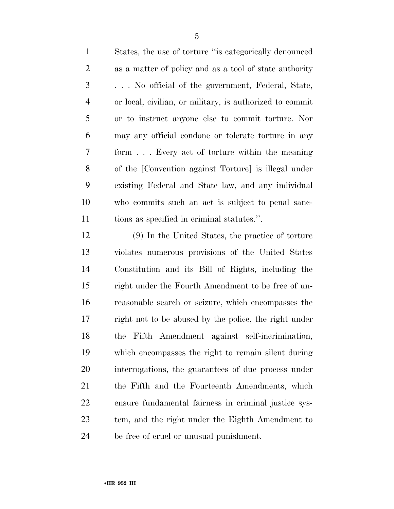States, the use of torture ''is categorically denounced as a matter of policy and as a tool of state authority . . . No official of the government, Federal, State, or local, civilian, or military, is authorized to commit or to instruct anyone else to commit torture. Nor may any official condone or tolerate torture in any form . . . Every act of torture within the meaning of the [Convention against Torture] is illegal under existing Federal and State law, and any individual who commits such an act is subject to penal sanc-tions as specified in criminal statutes.''.

 (9) In the United States, the practice of torture violates numerous provisions of the United States Constitution and its Bill of Rights, including the right under the Fourth Amendment to be free of un- reasonable search or seizure, which encompasses the right not to be abused by the police, the right under the Fifth Amendment against self-incrimination, which encompasses the right to remain silent during interrogations, the guarantees of due process under the Fifth and the Fourteenth Amendments, which ensure fundamental fairness in criminal justice sys- tem, and the right under the Eighth Amendment to be free of cruel or unusual punishment.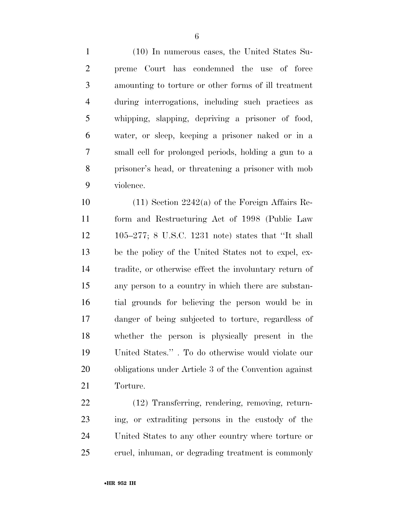(10) In numerous cases, the United States Su- preme Court has condemned the use of force amounting to torture or other forms of ill treatment during interrogations, including such practices as whipping, slapping, depriving a prisoner of food, water, or sleep, keeping a prisoner naked or in a small cell for prolonged periods, holding a gun to a

prisoner's head, or threatening a prisoner with mob

violence.

 (11) Section 2242(a) of the Foreign Affairs Re- form and Restructuring Act of 1998 (Public Law 105–277; 8 U.S.C. 1231 note) states that ''It shall be the policy of the United States not to expel, ex- tradite, or otherwise effect the involuntary return of any person to a country in which there are substan- tial grounds for believing the person would be in danger of being subjected to torture, regardless of whether the person is physically present in the United States.'' . To do otherwise would violate our obligations under Article 3 of the Convention against Torture.

 (12) Transferring, rendering, removing, return- ing, or extraditing persons in the custody of the United States to any other country where torture or cruel, inhuman, or degrading treatment is commonly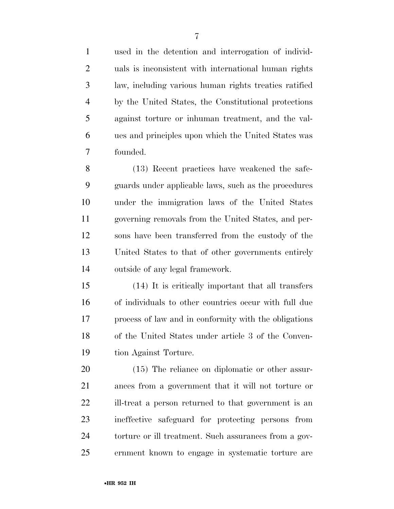used in the detention and interrogation of individ- uals is inconsistent with international human rights law, including various human rights treaties ratified by the United States, the Constitutional protections against torture or inhuman treatment, and the val- ues and principles upon which the United States was founded.

 (13) Recent practices have weakened the safe- guards under applicable laws, such as the procedures under the immigration laws of the United States governing removals from the United States, and per- sons have been transferred from the custody of the United States to that of other governments entirely outside of any legal framework.

 (14) It is critically important that all transfers of individuals to other countries occur with full due process of law and in conformity with the obligations of the United States under article 3 of the Conven-tion Against Torture.

 (15) The reliance on diplomatic or other assur- ances from a government that it will not torture or ill-treat a person returned to that government is an ineffective safeguard for protecting persons from 24 torture or ill treatment. Such assurances from a gov-ernment known to engage in systematic torture are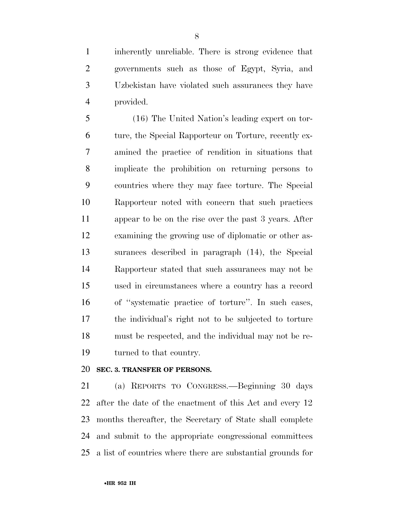inherently unreliable. There is strong evidence that governments such as those of Egypt, Syria, and Uzbekistan have violated such assurances they have provided.

 (16) The United Nation's leading expert on tor- ture, the Special Rapporteur on Torture, recently ex- amined the practice of rendition in situations that implicate the prohibition on returning persons to countries where they may face torture. The Special Rapporteur noted with concern that such practices appear to be on the rise over the past 3 years. After examining the growing use of diplomatic or other as- surances described in paragraph (14), the Special Rapporteur stated that such assurances may not be used in circumstances where a country has a record of ''systematic practice of torture''. In such cases, the individual's right not to be subjected to torture must be respected, and the individual may not be re-turned to that country.

#### **SEC. 3. TRANSFER OF PERSONS.**

 (a) REPORTS TO CONGRESS.—Beginning 30 days after the date of the enactment of this Act and every 12 months thereafter, the Secretary of State shall complete and submit to the appropriate congressional committees a list of countries where there are substantial grounds for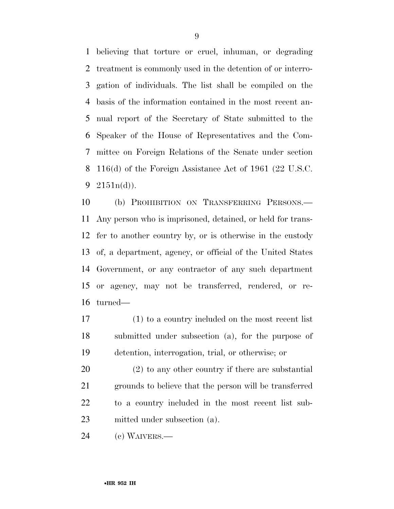believing that torture or cruel, inhuman, or degrading treatment is commonly used in the detention of or interro- gation of individuals. The list shall be compiled on the basis of the information contained in the most recent an- nual report of the Secretary of State submitted to the Speaker of the House of Representatives and the Com- mittee on Foreign Relations of the Senate under section 116(d) of the Foreign Assistance Act of 1961 (22 U.S.C.  $2151n(d)$ ).

 (b) PROHIBITION ON TRANSFERRING PERSONS.— Any person who is imprisoned, detained, or held for trans- fer to another country by, or is otherwise in the custody of, a department, agency, or official of the United States Government, or any contractor of any such department or agency, may not be transferred, rendered, or re-turned—

 (1) to a country included on the most recent list submitted under subsection (a), for the purpose of detention, interrogation, trial, or otherwise; or

 (2) to any other country if there are substantial grounds to believe that the person will be transferred to a country included in the most recent list sub-mitted under subsection (a).

(c) WAIVERS.—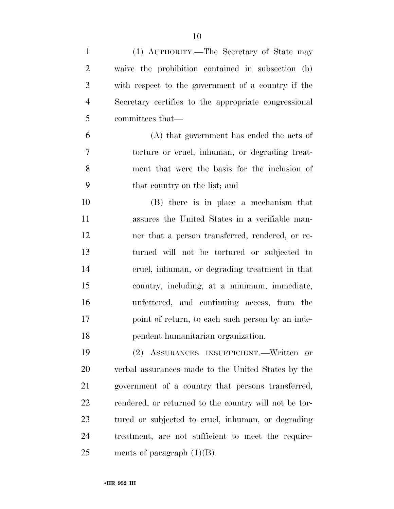| $\mathbf{1}$   | (1) AUTHORITY.—The Secretary of State may             |
|----------------|-------------------------------------------------------|
| $\overline{2}$ | waive the prohibition contained in subsection (b)     |
| 3              | with respect to the government of a country if the    |
| $\overline{4}$ | Secretary certifies to the appropriate congressional  |
| 5              | committees that—                                      |
| 6              | (A) that government has ended the acts of             |
| 7              | torture or cruel, inhuman, or degrading treat-        |
| 8              | ment that were the basis for the inclusion of         |
| 9              | that country on the list; and                         |
| 10             | (B) there is in place a mechanism that                |
| 11             | assures the United States in a verifiable man-        |
| 12             | ner that a person transferred, rendered, or re-       |
| 13             | turned will not be tortured or subjected to           |
| 14             | cruel, inhuman, or degrading treatment in that        |
| 15             | country, including, at a minimum, immediate,          |
| 16             | unfettered, and continuing access, from the           |
| 17             | point of return, to each such person by an inde-      |
| 18             | pendent humanitarian organization.                    |
| 19             | (2) ASSURANCES INSUFFICIENT.—Written<br>or            |
| 20             | verbal assurances made to the United States by the    |
| 21             | government of a country that persons transferred,     |
| 22             | rendered, or returned to the country will not be tor- |
| 23             | tured or subjected to cruel, inhuman, or degrading    |
| 24             | treatment, are not sufficient to meet the require-    |
| 25             | ments of paragraph $(1)(B)$ .                         |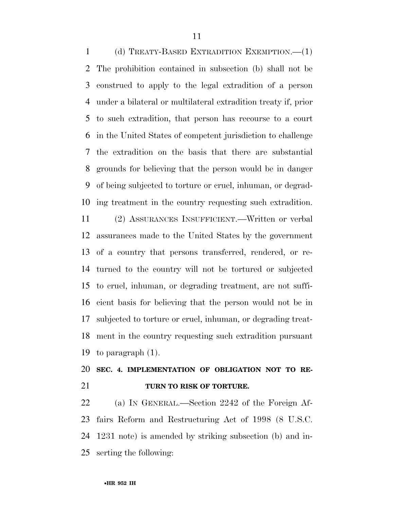(d) TREATY-BASED EXTRADITION EXEMPTION.—(1) The prohibition contained in subsection (b) shall not be construed to apply to the legal extradition of a person under a bilateral or multilateral extradition treaty if, prior to such extradition, that person has recourse to a court in the United States of competent jurisdiction to challenge the extradition on the basis that there are substantial grounds for believing that the person would be in danger of being subjected to torture or cruel, inhuman, or degrad-ing treatment in the country requesting such extradition.

 (2) ASSURANCES INSUFFICIENT.—Written or verbal assurances made to the United States by the government of a country that persons transferred, rendered, or re- turned to the country will not be tortured or subjected to cruel, inhuman, or degrading treatment, are not suffi- cient basis for believing that the person would not be in subjected to torture or cruel, inhuman, or degrading treat- ment in the country requesting such extradition pursuant to paragraph (1).

## **SEC. 4. IMPLEMENTATION OF OBLIGATION NOT TO RE-TURN TO RISK OF TORTURE.**

 (a) IN GENERAL.—Section 2242 of the Foreign Af- fairs Reform and Restructuring Act of 1998 (8 U.S.C. 1231 note) is amended by striking subsection (b) and in-serting the following: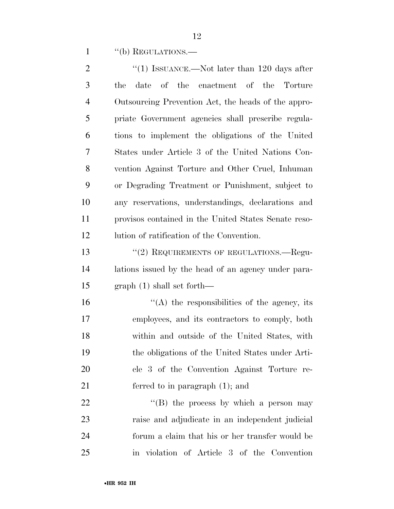1 "(b) REGULATIONS.—

| "(1) ISSUANCE.—Not later than 120 days after         |
|------------------------------------------------------|
| of the enactment of the Torture<br>the<br>date       |
| Outsourcing Prevention Act, the heads of the appro-  |
| priate Government agencies shall prescribe regula-   |
| tions to implement the obligations of the United     |
| States under Article 3 of the United Nations Con-    |
| vention Against Torture and Other Cruel, Inhuman     |
| or Degrading Treatment or Punishment, subject to     |
| any reservations, understandings, declarations and   |
| provisor contained in the United States Senate reso- |
| lution of ratification of the Convention.            |
| "(2) REQUIREMENTS OF REGULATIONS.—Regu-              |
| lations issued by the head of an agency under para-  |
| $graph(1) shall set forth$ —                         |
| $\cdot$ (A) the responsibilities of the agency, its  |
| employees, and its contractors to comply, both       |
| within and outside of the United States, with        |
| the obligations of the United States under Arti-     |
| cle 3 of the Convention Against Torture re-          |
| ferred to in paragraph $(1)$ ; and                   |
| "(B) the process by which a person may               |
| raise and adjudicate in an independent judicial      |
| forum a claim that his or her transfer would be      |
|                                                      |

in violation of Article 3 of the Convention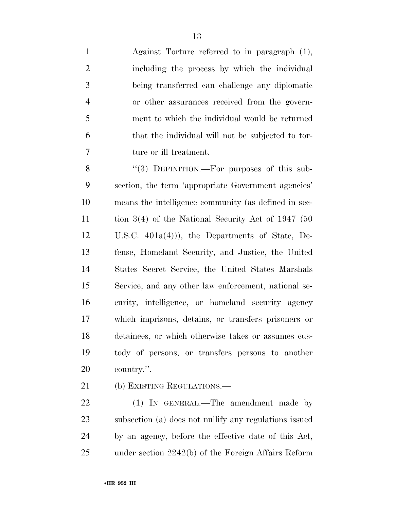Against Torture referred to in paragraph (1), including the process by which the individual being transferred can challenge any diplomatic or other assurances received from the govern- ment to which the individual would be returned that the individual will not be subjected to tor-ture or ill treatment.

8 "(3) DEFINITION.—For purposes of this sub- section, the term 'appropriate Government agencies' means the intelligence community (as defined in sec- tion 3(4) of the National Security Act of 1947 (50 U.S.C. 401a(4))), the Departments of State, De- fense, Homeland Security, and Justice, the United States Secret Service, the United States Marshals Service, and any other law enforcement, national se- curity, intelligence, or homeland security agency which imprisons, detains, or transfers prisoners or detainees, or which otherwise takes or assumes cus- tody of persons, or transfers persons to another country.''.

(b) EXISTING REGULATIONS.—

22 (1) IN GENERAL.—The amendment made by subsection (a) does not nullify any regulations issued by an agency, before the effective date of this Act, under section 2242(b) of the Foreign Affairs Reform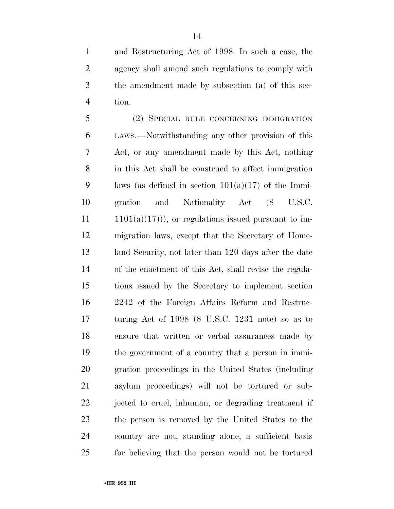and Restructuring Act of 1998. In such a case, the agency shall amend such regulations to comply with the amendment made by subsection (a) of this sec-tion.

 (2) SPECIAL RULE CONCERNING IMMIGRATION LAWS.—Notwithstanding any other provision of this Act, or any amendment made by this Act, nothing in this Act shall be construed to affect immigration 9 laws (as defined in section  $101(a)(17)$  of the Immi- gration and Nationality Act (8 U.S.C. 1101(a)(17))), or regulations issued pursuant to im- migration laws, except that the Secretary of Home- land Security, not later than 120 days after the date of the enactment of this Act, shall revise the regula- tions issued by the Secretary to implement section 2242 of the Foreign Affairs Reform and Restruc- turing Act of 1998 (8 U.S.C. 1231 note) so as to ensure that written or verbal assurances made by the government of a country that a person in immi- gration proceedings in the United States (including asylum proceedings) will not be tortured or sub- jected to cruel, inhuman, or degrading treatment if the person is removed by the United States to the country are not, standing alone, a sufficient basis for believing that the person would not be tortured